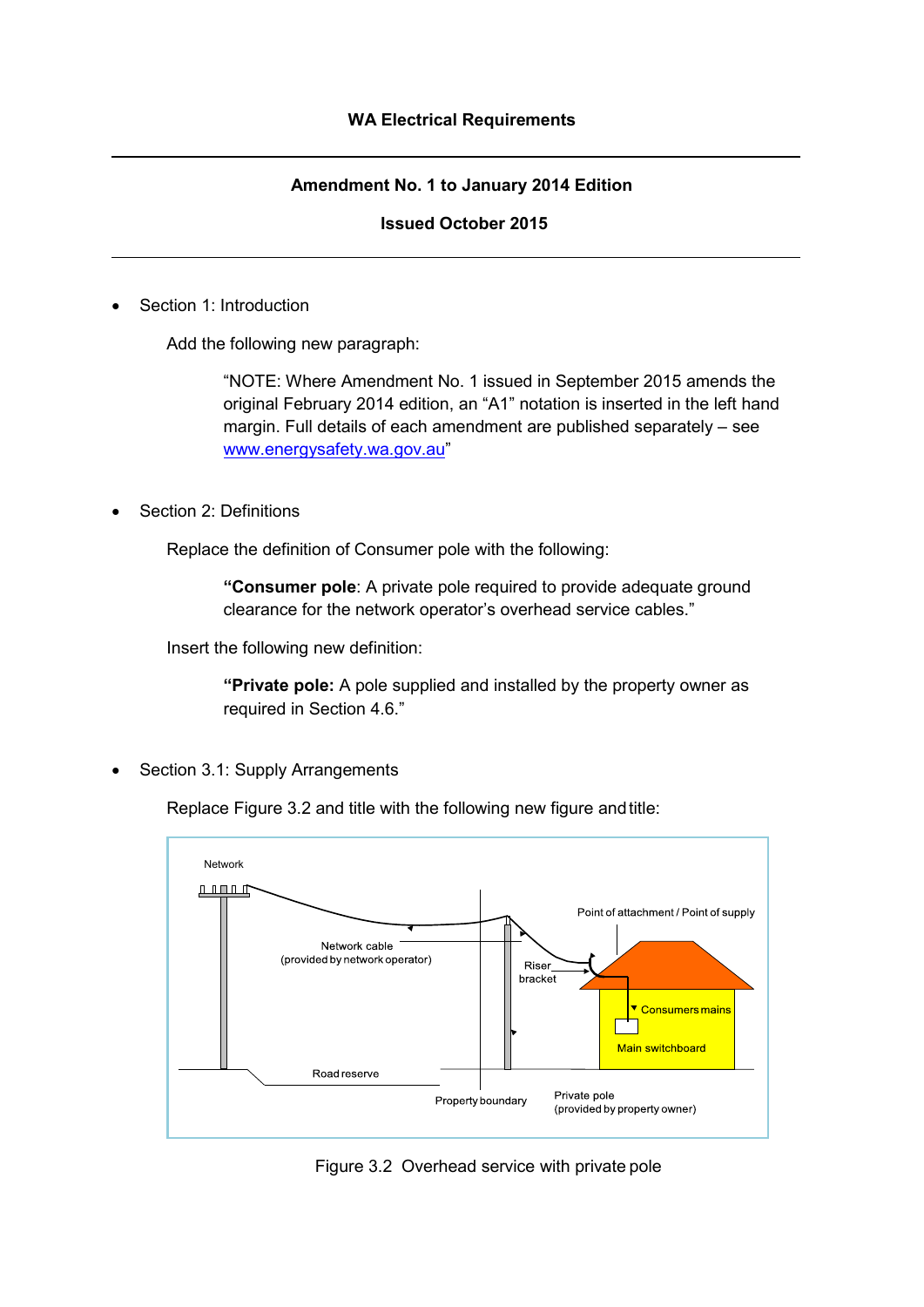#### **Amendment No. 1 to January 2014 Edition**

#### **Issued October 2015**

Section 1: Introduction

Add the following new paragraph:

"NOTE: Where Amendment No. 1 issued in September 2015 amends the original February 2014 edition, an "A1" notation is inserted in the left hand margin. Full details of each amendment are published separately – see [www.energysafety.wa.gov.au"](http://www.energysafety.wa.gov.au/)

Section 2: Definitions

Replace the definition of Consumer pole with the following:

**"Consumer pole**: A private pole required to provide adequate ground clearance for the network operator's overhead service cables."

Insert the following new definition:

**"Private pole:** A pole supplied and installed by the property owner as required in Section 4.6."

Section 3.1: Supply Arrangements

Replace Figure 3.2 and title with the following new figure andtitle:



Figure 3.2 Overhead service with private pole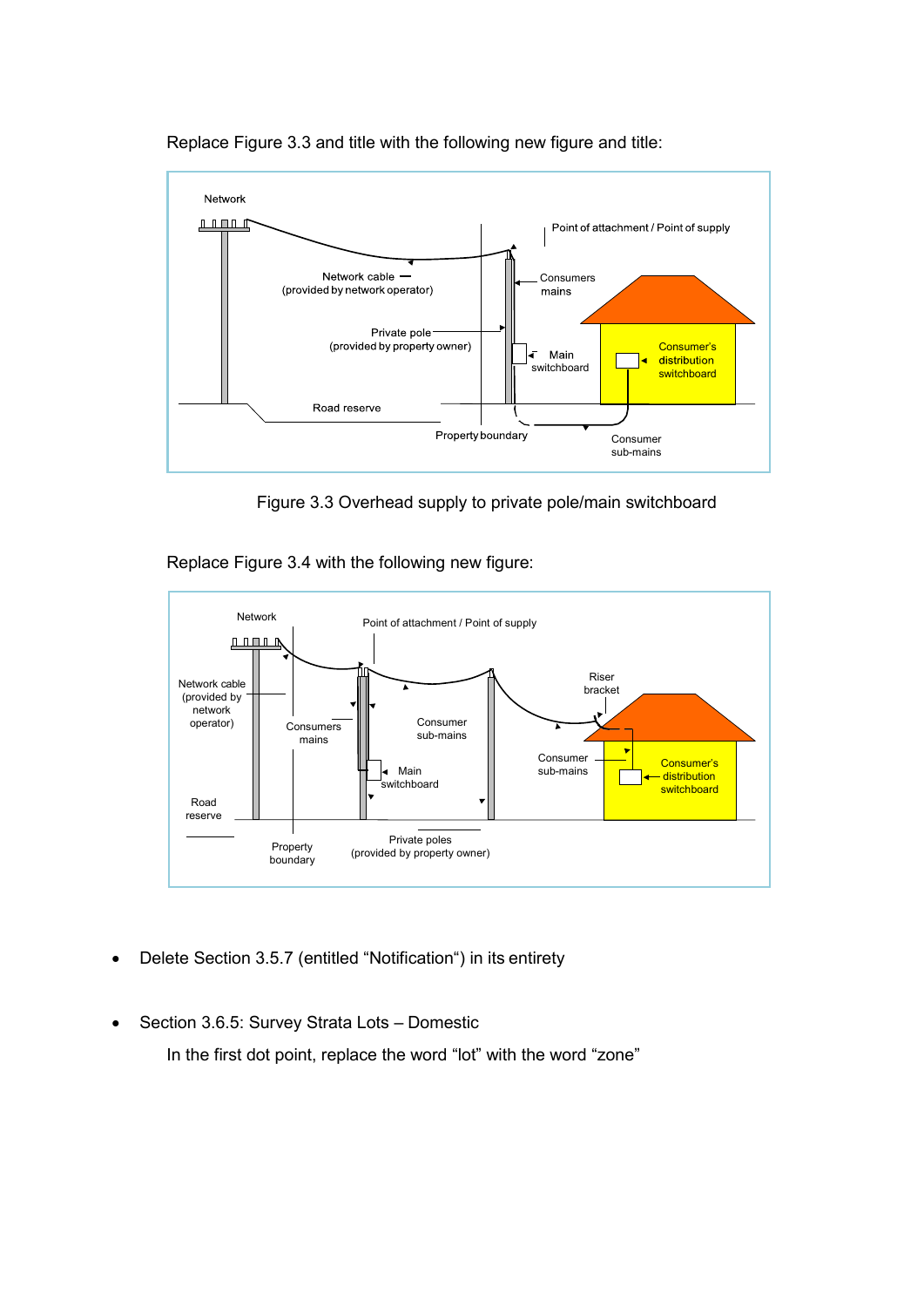

Replace Figure 3.3 and title with the following new figure and title:

Figure 3.3 Overhead supply to private pole/main switchboard

Replace Figure 3.4 with the following new figure:



- Delete Section 3.5.7 (entitled "Notification") in its entirety
- Section 3.6.5: Survey Strata Lots Domestic

In the first dot point, replace the word "lot" with the word "zone"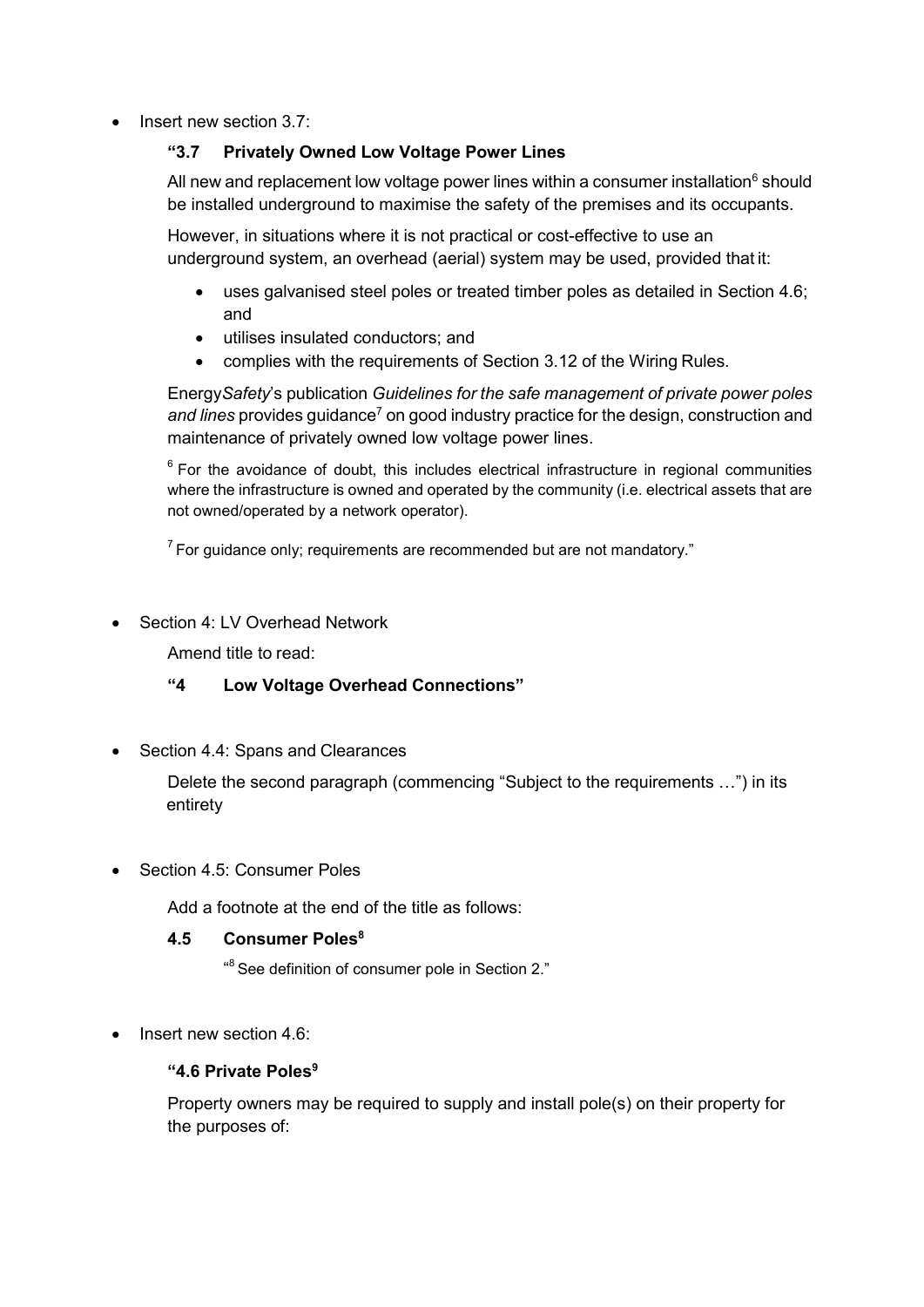• Insert new section 3.7:

## **"3.7 Privately Owned Low Voltage Power Lines**

All new and replacement low voltage power lines within a consumer installation<sup>6</sup> should be installed underground to maximise the safety of the premises and its occupants.

However, in situations where it is not practical or cost-effective to use an underground system, an overhead (aerial) system may be used, provided that it:

- uses galvanised steel poles or treated timber poles as detailed in Section 4.6; and
- utilises insulated conductors; and
- complies with the requirements of Section 3.12 of the Wiring Rules.

Energy*Safety*'s publication *Guidelines for the safe management of private power poles*  and lines provides guidance<sup>7</sup> on good industry practice for the design, construction and maintenance of privately owned low voltage power lines.

 $6$  For the avoidance of doubt, this includes electrical infrastructure in regional communities where the infrastructure is owned and operated by the community (i.e. electrical assets that are not owned/operated by a network operator).

 $7$  For guidance only; requirements are recommended but are not mandatory."

• Section 4: LV Overhead Network

Amend title to read:

## **"4 Low Voltage Overhead Connections"**

Section 4.4: Spans and Clearances

Delete the second paragraph (commencing "Subject to the requirements …") in its entirety

Section 4.5: Consumer Poles

Add a footnote at the end of the title as follows:

## **4.5 Consumer Poles8**

 $\mathrm{^{48}}$  See definition of consumer pole in Section 2."

• Insert new section 4.6:

#### **"4.6 Private Poles9**

Property owners may be required to supply and install pole(s) on their property for the purposes of: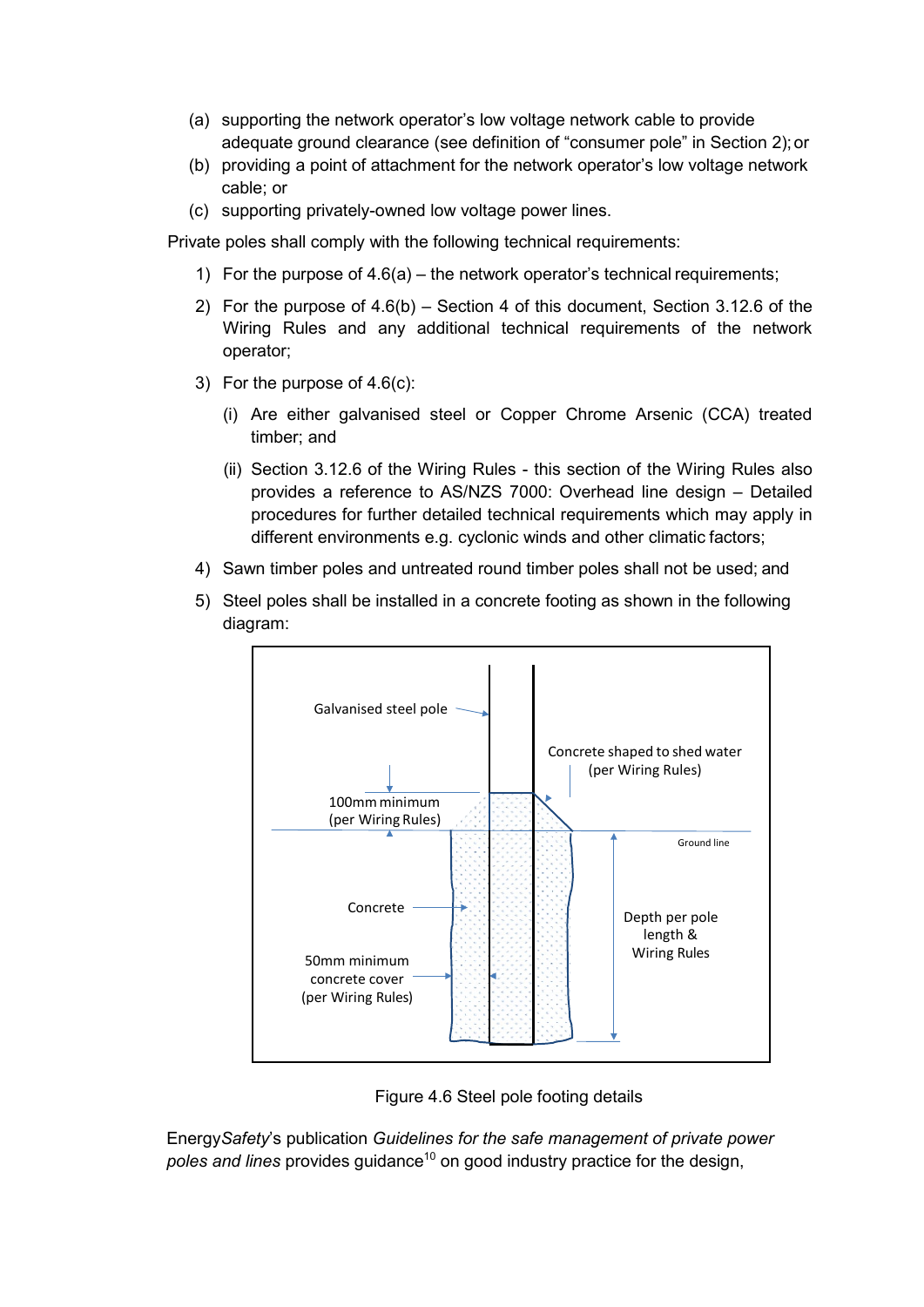- (a) supporting the network operator's low voltage network cable to provide adequate ground clearance (see definition of "consumer pole" in Section 2);or
- (b) providing a point of attachment for the network operator's low voltage network cable; or
- (c) supporting privately-owned low voltage power lines.

Private poles shall comply with the following technical requirements:

- 1) For the purpose of 4.6(a) the network operator's technical requirements;
- 2) For the purpose of 4.6(b) Section 4 of this document, Section 3.12.6 of the Wiring Rules and any additional technical requirements of the network operator;
- 3) For the purpose of 4.6(c):
	- (i) Are either galvanised steel or Copper Chrome Arsenic (CCA) treated timber; and
	- (ii) Section 3.12.6 of the Wiring Rules this section of the Wiring Rules also provides a reference to AS/NZS 7000: Overhead line design – Detailed procedures for further detailed technical requirements which may apply in different environments e.g. cyclonic winds and other climatic factors;
- 4) Sawn timber poles and untreated round timber poles shall not be used; and
- 5) Steel poles shall be installed in a concrete footing as shown in the following diagram:



Figure 4.6 Steel pole footing details

Energy*Safety*'s publication *Guidelines for the safe management of private power*  poles and lines provides guidance<sup>10</sup> on good industry practice for the design,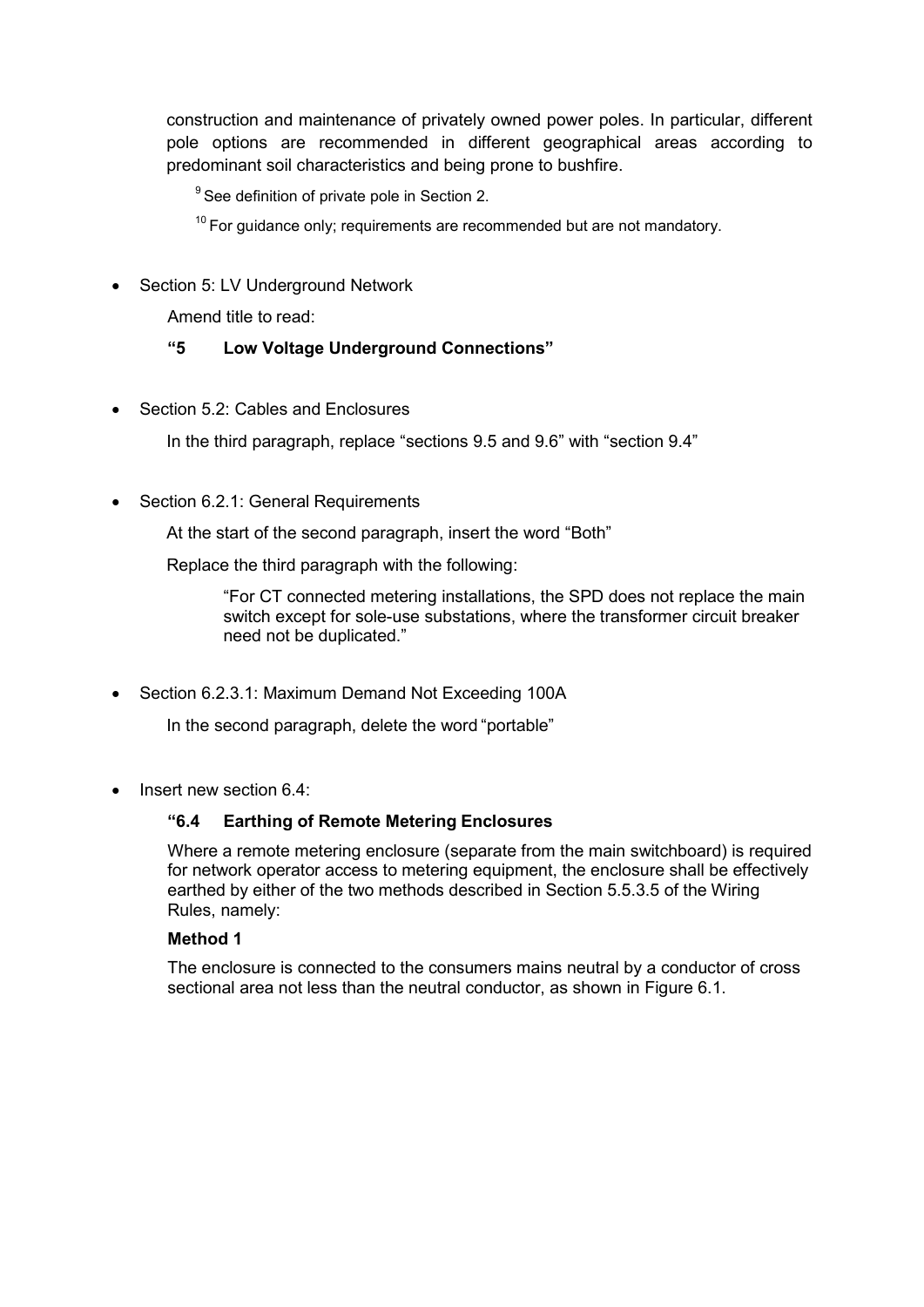construction and maintenance of privately owned power poles. In particular, different pole options are recommended in different geographical areas according to predominant soil characteristics and being prone to bushfire.

 $9^9$  See definition of private pole in Section 2.

 $10$  For guidance only; requirements are recommended but are not mandatory.

• Section 5: LV Underground Network

Amend title to read:

## **"5 Low Voltage Underground Connections"**

• Section 5.2: Cables and Enclosures

In the third paragraph, replace "sections 9.5 and 9.6" with "section 9.4"

• Section 6.2.1: General Requirements

At the start of the second paragraph, insert the word "Both"

Replace the third paragraph with the following:

"For CT connected metering installations, the SPD does not replace the main switch except for sole-use substations, where the transformer circuit breaker need not be duplicated."

• Section 6.2.3.1: Maximum Demand Not Exceeding 100A

In the second paragraph, delete the word "portable"

• Insert new section 6.4:

## **"6.4 Earthing of Remote Metering Enclosures**

Where a remote metering enclosure (separate from the main switchboard) is required for network operator access to metering equipment, the enclosure shall be effectively earthed by either of the two methods described in Section 5.5.3.5 of the Wiring Rules, namely:

#### **Method 1**

The enclosure is connected to the consumers mains neutral by a conductor of cross sectional area not less than the neutral conductor, as shown in Figure 6.1.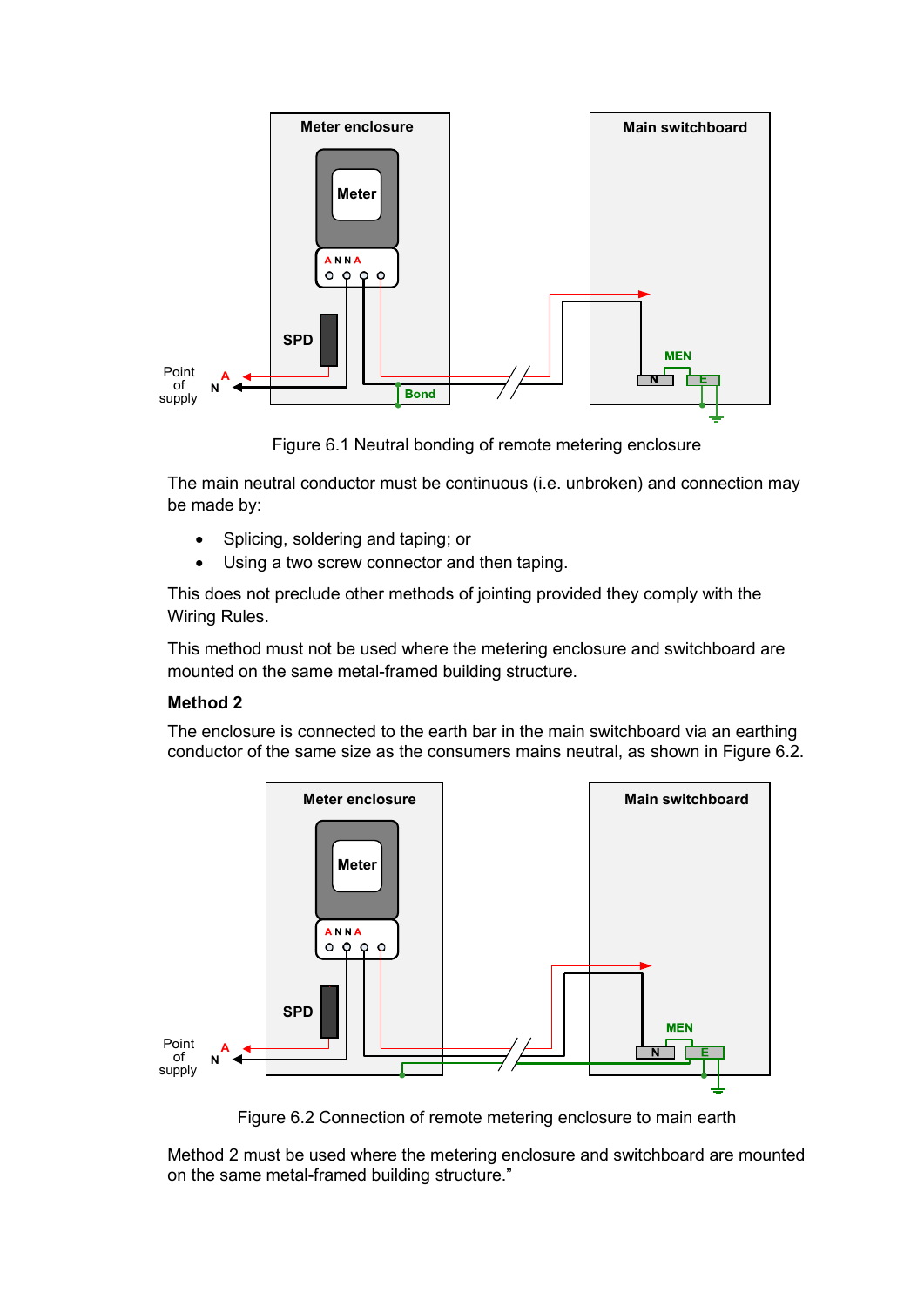

Figure 6.1 Neutral bonding of remote metering enclosure

The main neutral conductor must be continuous (i.e. unbroken) and connection may be made by:

- Splicing, soldering and taping; or
- Using a two screw connector and then taping.

This does not preclude other methods of jointing provided they comply with the Wiring Rules.

This method must not be used where the metering enclosure and switchboard are mounted on the same metal-framed building structure.

#### **Method 2**

The enclosure is connected to the earth bar in the main switchboard via an earthing conductor of the same size as the consumers mains neutral, as shown in Figure 6.2.



Figure 6.2 Connection of remote metering enclosure to main earth

Method 2 must be used where the metering enclosure and switchboard are mounted on the same metal-framed building structure."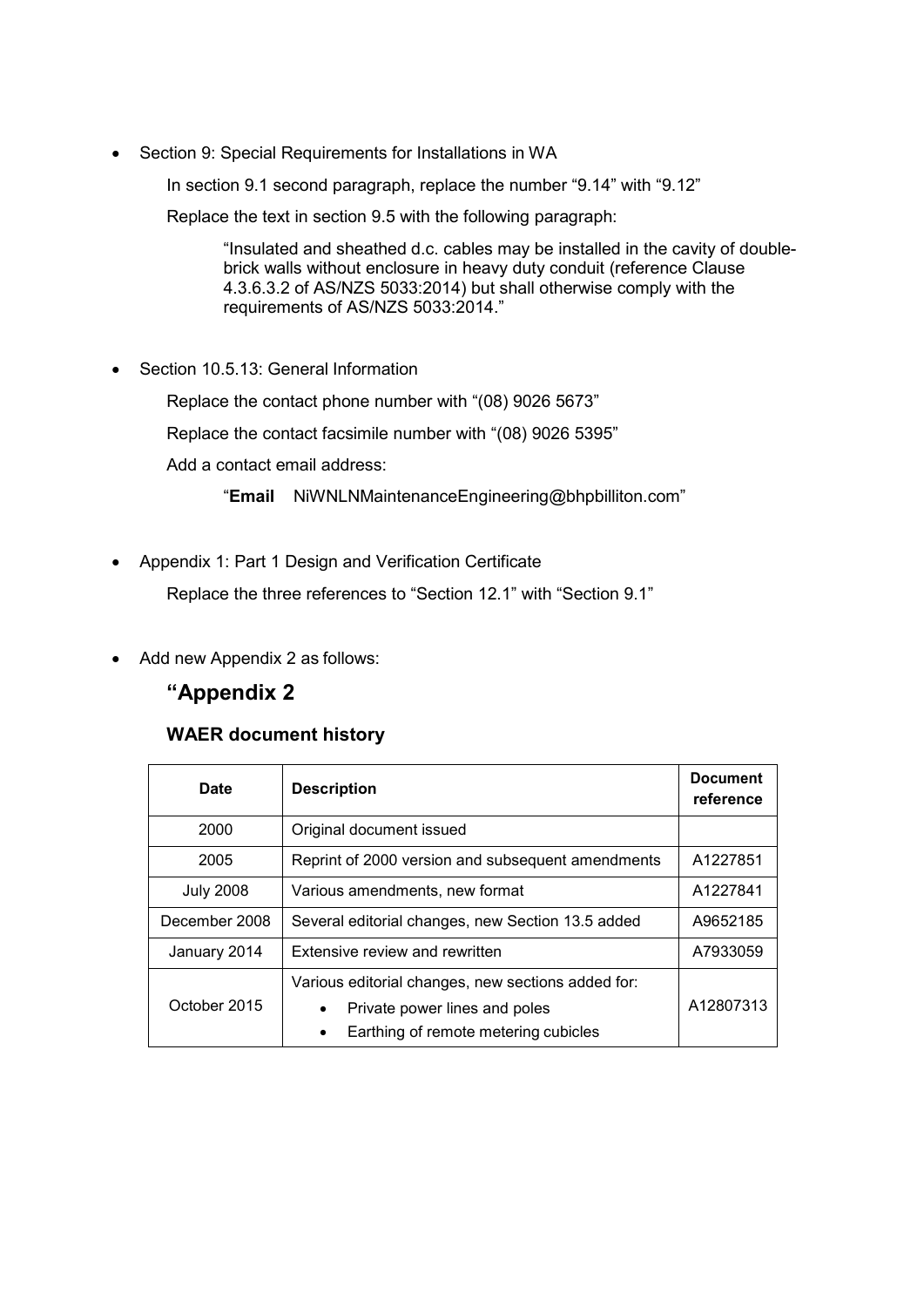• Section 9: Special Requirements for Installations in WA

In section 9.1 second paragraph, replace the number "9.14" with "9.12"

Replace the text in section 9.5 with the following paragraph:

"Insulated and sheathed d.c. cables may be installed in the cavity of doublebrick walls without enclosure in heavy duty conduit (reference Clause 4.3.6.3.2 of AS/NZS 5033:2014) but shall otherwise comply with the requirements of AS/NZS 5033:2014."

• Section 10.5.13: General Information

Replace the contact phone number with "(08) 9026 5673"

Replace the contact facsimile number with "(08) 9026 5395"

Add a contact email address:

"**Email** [NiWNLNMaintenanceEngineering@bhpbilliton.com"](mailto:NiWNLNMaintenanceEngineering@bhpbilliton.com)

• Appendix 1: Part 1 Design and Verification Certificate

Replace the three references to "Section 12.1" with "Section 9.1"

Add new Appendix 2 as follows:

# **"Appendix 2**

## **WAER document history**

| <b>Date</b>      | <b>Description</b>                                                                                                                       | <b>Document</b><br>reference |
|------------------|------------------------------------------------------------------------------------------------------------------------------------------|------------------------------|
| 2000             | Original document issued                                                                                                                 |                              |
| 2005             | Reprint of 2000 version and subsequent amendments                                                                                        | A1227851                     |
| <b>July 2008</b> | Various amendments, new format                                                                                                           | A1227841                     |
| December 2008    | Several editorial changes, new Section 13.5 added                                                                                        | A9652185                     |
| January 2014     | Extensive review and rewritten                                                                                                           | A7933059                     |
| October 2015     | Various editorial changes, new sections added for:<br>Private power lines and poles<br>Earthing of remote metering cubicles<br>$\bullet$ | A12807313                    |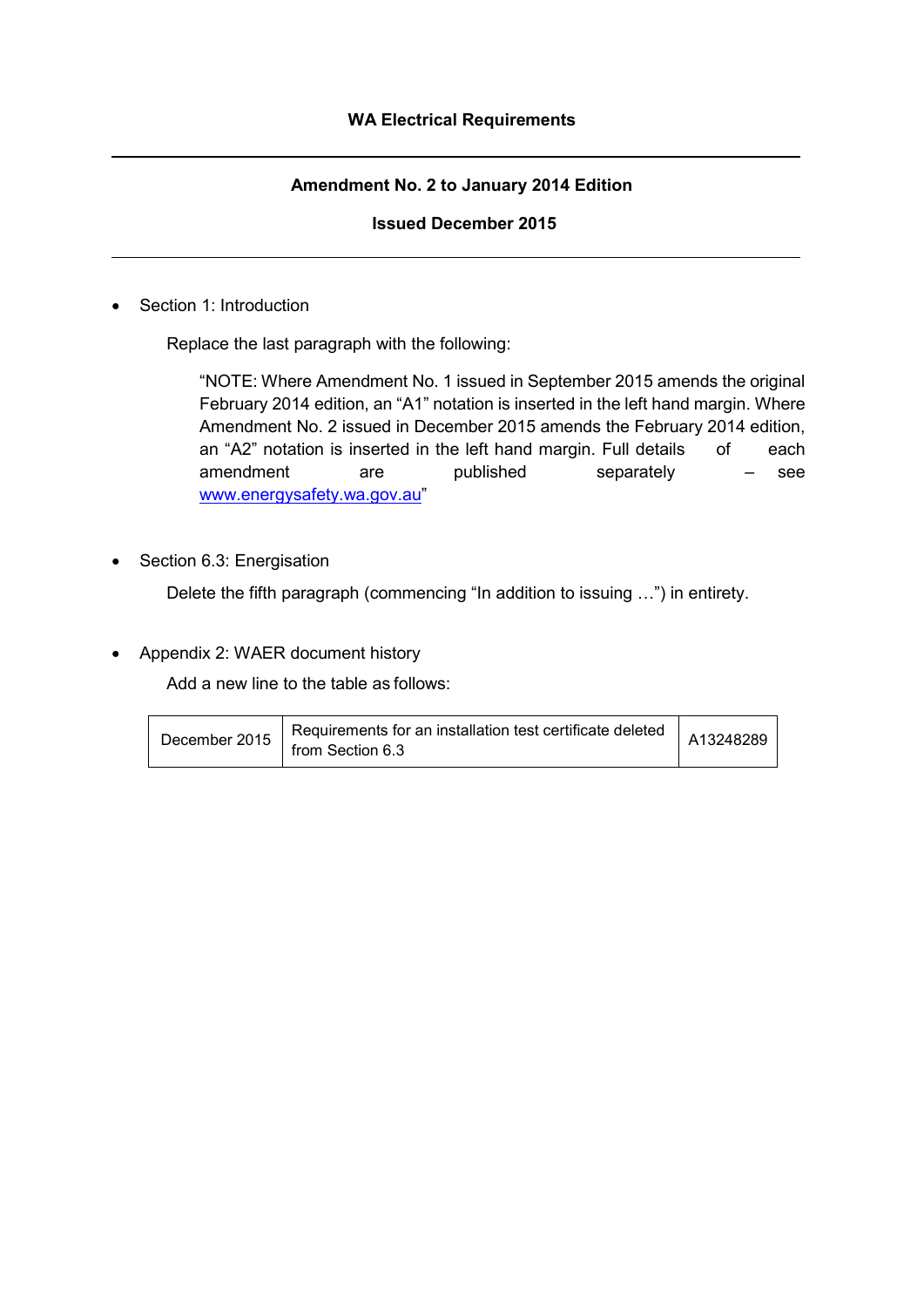## **Amendment No. 2 to January 2014 Edition**

## **Issued December 2015**

• Section 1: Introduction

Replace the last paragraph with the following:

"NOTE: Where Amendment No. 1 issued in September 2015 amends the original February 2014 edition, an "A1" notation is inserted in the left hand margin. Where Amendment No. 2 issued in December 2015 amends the February 2014 edition, an "A2" notation is inserted in the left hand margin. Full details of each amendment are published separately – see [www.energysafety.wa.gov.au"](http://www.energysafety.wa.gov.au/)

Section 6.3: Energisation

Delete the fifth paragraph (commencing "In addition to issuing …") in entirety.

• Appendix 2: WAER document history

Add a new line to the table as follows:

| December 2015 | Requirements for an installation test certificate deleted<br>from Section 6.3 | A13248289 |
|---------------|-------------------------------------------------------------------------------|-----------|
|---------------|-------------------------------------------------------------------------------|-----------|